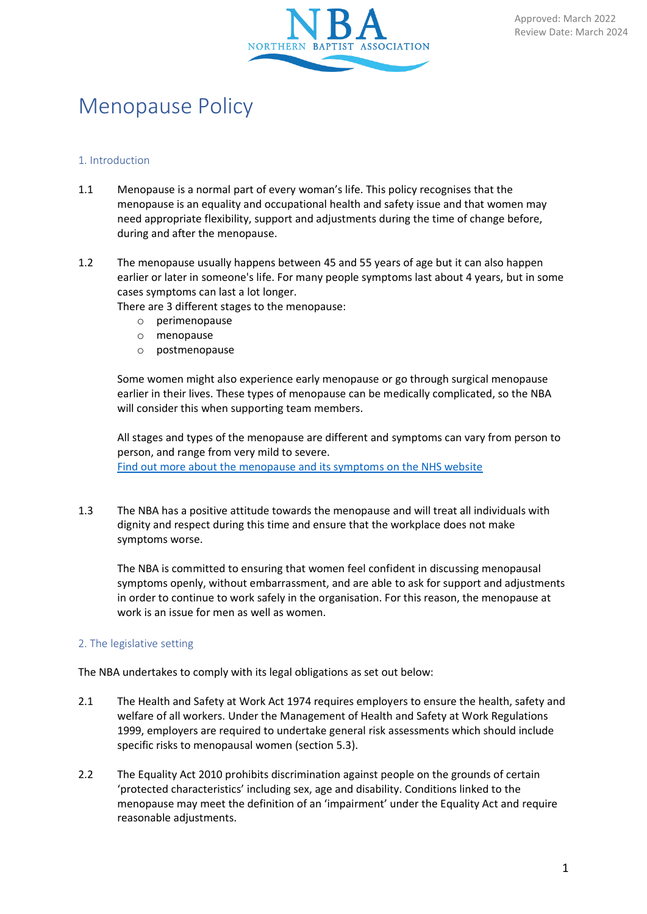

# Menopause Policy

## 1. Introduction

- 1.1 Menopause is a normal part of every woman's life. This policy recognises that the menopause is an equality and occupational health and safety issue and that women may need appropriate flexibility, support and adjustments during the time of change before, during and after the menopause.
- 1.2 The menopause usually happens between 45 and 55 years of age but it can also happen earlier or later in someone's life. For many people symptoms last about 4 years, but in some cases symptoms can last a lot longer.

There are 3 different stages to the menopause:

- o perimenopause
- o menopause
- o postmenopause

Some women might also experience early menopause or go through surgical menopause earlier in their lives. These types of menopause can be medically complicated, so the NBA will consider this when supporting team members.

All stages and types of the menopause are different and symptoms can vary from person to person, and range from very mild to severe. [Find out more about the menopause and its symptoms on the NHS website](https://www.nhs.uk/conditions/menopause/)

1.3 The NBA has a positive attitude towards the menopause and will treat all individuals with dignity and respect during this time and ensure that the workplace does not make symptoms worse.

The NBA is committed to ensuring that women feel confident in discussing menopausal symptoms openly, without embarrassment, and are able to ask for support and adjustments in order to continue to work safely in the organisation. For this reason, the menopause at work is an issue for men as well as women.

## 2. The legislative setting

The NBA undertakes to comply with its legal obligations as set out below:

- 2.1 The Health and Safety at Work Act 1974 requires employers to ensure the health, safety and welfare of all workers. Under the Management of Health and Safety at Work Regulations 1999, employers are required to undertake general risk assessments which should include specific risks to menopausal women (section 5.3).
- 2.2 The Equality Act 2010 prohibits discrimination against people on the grounds of certain 'protected characteristics' including sex, age and disability. Conditions linked to the menopause may meet the definition of an 'impairment' under the Equality Act and require reasonable adjustments.